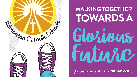

# **WALKING TOGETHER TOWARDS A** Glozious Future

gloriousfuture.ecsd.net • 780 441-6000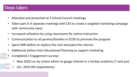## Steps taken:

- Attended and presented at 3 School Council meetings
- Taken part in 4 separate meetings with CES to create a targeted marketing campaign with community input
- Increased utilization by using classrooms for online instruction
- Communication to all parents/families in ECSD to promote the program
- Spent IMR dollars to replace the roof and paint the interior.
- Additional dollars from Educational Planning to support marketing
	- Completed 2 Engagement surveys
		- May 2020 run by school admin to gauge interest in a hockey academy (7 said yes)
		- Oct. 2020 (63 respondents)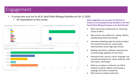## Engagement

- A survey was sent out to all St. Basil Polish Bilingual families on Oct. 6, 2020.
	- 63 respondents to this survey **What suggestions can you give the Division to**







**enhance current programming available in the John Paul II Polish Bilingual Program at St. Basil School?**

- More community involvement (ie. swimming classes at NAIT)
- New and fun class options (ie. coding, robotics, woodworking, foods and sewing)
- Improved marketing to get the word out about the school/curriculum (ie. social media, advertisements, junior high open house)
- Building renovations, aesthetic improvements and technology upgrades for the school
- Enhanced math, science, culture, language, and recreational programs (ie. sports academy, math club, dance, swimming)
- Polish as an option, to allow for non-Polish students to attend. Option could include a language and culture component.
- More busses to reduce travel time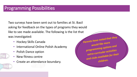Two surveys have been sent out to families at St. Basil asking for feedback on the types of programs they would like to see made available. The following is the list that was investigated:

- Hockey Skills Canada
- International Online Polish Academy
- Polish Dance option
- New fitness centre
- Create an attendance boundary.

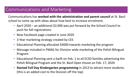## Communications and Marketing

Communications has **worked with the administration and parent council** at St. Basil school to come up with ideas about how best to increase enrolment.

- April 2020 an additional \$2,900 was put forward by the School Council to push for fall registrations
- New Facebook page created in June 2020
- 3-Year marketing strategy created by CES
- Educational Planning allocated \$4000 towards marketing the program
- Message included in PWAG for Division wide marketing of the Polish Bilingual Program
- Educational Planning sent a Swift on Feb. 1 to all ECSD families advertising the Polish Bilingual Program and the St. Basil Open House on Feb. 17, 2020
- **Started Full Day Kindergarten programming** in 2013 to attract more students. (this is an added cost to the Division off the top)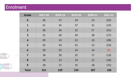## Enrolment

| <b>Grade</b>              | 2017-18 | 2018-19 | 2019-20 | 2020-21 | 2021-22 |
|---------------------------|---------|---------|---------|---------|---------|
| $\boldsymbol{\mathsf{K}}$ | 36      | 27      | 34      | 23      | (25)    |
| $\mathbf{1}$              | 31      | 35      | 27      | 31      | (23)    |
| $\overline{2}$            | 28      | 26      | 32      | 17      | (31)    |
| 3                         | 21      | 26      | 24      | 28      | (17)    |
| $\overline{\mathbf{4}}$   | 29      | 19      | 22      | 23      | (28)    |
| 5                         | 23      | 24      | 15      | 15      | (23)    |
| 6                         | 29      | 22      | 24      | 14      | (5)     |
| $\overline{\mathbf{7}}$   | 18      | 20      | 22      | 17      | (13)    |
| 8                         | 18      | 13      | 19      | 21      | (16)    |
| 9                         | 18      | 17      | 15      | 18      | (15)    |
| <b>Total</b>              | 251     | 229     | 234     | 207     | 196     |



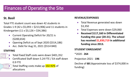## Finances of Operating the Site

#### **St. Basil**

Total FTE student count was down 42 students in Grades 1-9 (42 x \$5,093 = \$213,906) and 11 students in Kindergarten (11 x \$3,126 = \$34,386)

- Current Operating Deficit for 20/21 is (\$200,654)
- Opening Deficit as of Sept 2020 (\$314,186)
- Acc. Debt for Aug 31, 2021 (\$514 840)

#### **STAFFING**

- Total Fixed Staff costs were down \$401,352
- Certificated Staff down 5.24 FTE / EA staff down 0.9 FTE



#### **REVENUE/EXPENSES**

- Total Revenue generated was down \$3,350
- Total Expenses were down \$29,060
- **Received \$117,160 in Differentiated Funding this year (20-21). The school has received \$1,830,719 in additional funding since 2013.**

#### **STUDENT ENROLMENT**

#### \*2020 - **264**

Projection 2021 - **196**

Decline of **68** (Approximate loss of \$374,000 in funding)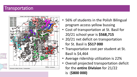### **Transportation**



- 56% of students in the Polish Bilingual program access yellow bussing
- Cost of transportation at St. Basil for 20/21 school year is **\$568,715**
- 20/21 net deficit on transportation for St. Basil is **\$517 000**
- Transportation cost per student at St. Basil is \$4,464
- Average ridership utilization is 22%

is (**\$800 000)**

• Overall projected transportation deficit for the **entire Division** for 21/22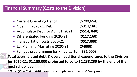### Financial Summary (Costs to the Division)

- Current Operating Deficit (\$200,654)
- Opening 2020-21 Debt (\$314,186)
- Accumulate Debt for Aug 31, 2021 **(\$514, 840)**
- Differentiated Funding 2020-21 (**\$117,160)**
- Transportation costs 2020-21 (**\$517,000)**
- Ed. Planning Marketing 2020-21 **(\$4000)**
- Full day programming for Kindergarten **(\$32 000)**

**Total accumulated debt & overall additional expenditures to the Division for 2020-21: \$1,185,000 projected to go to \$2,238,230 by the end of the next school year**

*\*Note: \$636 000 in IMR work also completed in the past two years*

- 
- 
- -
	-
-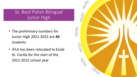## St. Basil Polish Bilingual Junior High

- The preliminary numbers for Junior High 2021-2022 are **44** students
- JFLA has been relocated to Ecole St. Cecilia for the start of the 2021-2022 school year